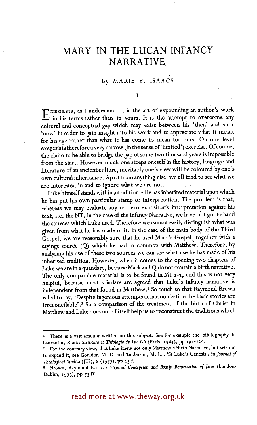## **MARY IN THE LUCAN INFANCY NARRATIVE**

## By MARIE E. ISAAC\$

T

 $\mathbb{T}$ ,  $X \in G$  Essis, as I understand it, is the art of expounding an author's work II, in his terms rather than in yours. It is the attempt to overcome any cultural and conceptual gap which may exist between his 'then' and your 'now' in order to gain insight into his work and to appreciate what it meant for his age rather than what it has come to mean for ours. On one level exegesis is therefore a very narrow (in the sense of'limited') exercise. Of course, the claim to be able to bridge the gap of some two thousand years is impossible from the start. However much one steeps oneself in the history, language and literature of an ancient culture, inevitably one's view will be coloured by one's own cultural inheritance. Apart from anything else, we all tend to see what we are interested in and to ignore what we are not.

Luke himself stands within a tradition.<sup>1</sup> He has inherited material upon which he has put his own particular stamp or interpretation. The problem is that, whereas we may evaluate any modern expositor's interpretation against his text, i.e. the NT, in the case of the Infancy Narrative, we have not got to hand the sources which Luke used. Therefore we cannot easily distinguish what was given from what he has made of it. In the case of the main body of the Third Gospel, we are reasonably sure that he used Mark's Gospel, together with a sayings source (Q) which he had in common with Matthew. Therefore, by analysing his use of these two sources we can see what use he has made of his inherited tradition. However, when it comes to the opening two chapters of Luke we are in a quandary, because Mark and Q do not contain a birth narrative. The only comparable material is to be found in Mt 1-2, and this is not very helpful, because most scholars are agreed that Luke's infancy narrative is independent from that found in Matthew. 2 So much so that Raymond Brown is led to say, 'Despite ingenious attempts at harmonization the basic stories are irreconcilable'. 3 So a comparison of the treatment of the birth of Christ in Matthew and Luke does not of itself help us to reconstruct the traditions which /

read more at www.theway.org.uk

<sup>1</sup> There is a vast amount written on this subject. See for example the bibliography in Laurentin, René: Structure et Théologie de Luc I-II (Paris, 1964), pp 191-226.

For the contrary view, that Luke knew not only Matthew's Birth Narrative, but sets out to expand it, see Goulder, M. D. and Sanderson, M. L. : 'St Luke's Genesis', *in Journal of Theological Studies* (JTS), 8 (1957), pp 13 f.

Brown, Raymond E.: *The Virginal Conception and Bodily Resurrection of Jesus* (London/ Dublin, 1973), pp 53 ff.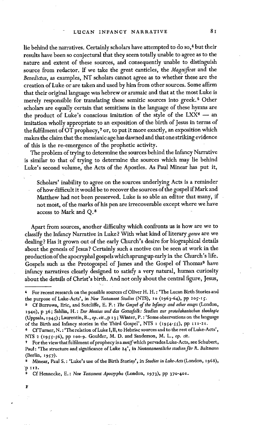lie behind the narratives. Certainly scholars have attempted to do so, 4 but their results have been so conjectural that they seem totally unable to agree as to the nature and extent of these sources, and consequently unable to distinguish source from redactor. If we take the great canticles, the *Magnificat* and the *Benedictus,* as examples, NT scholars cannot agree as to whether these are the creation of Luke or are taken and used by him from other sources. Some affirm that their original language was hebrew or aramaic and that at the most Luke is merely responsible for translating these semitic sources into greek. 5 Other scholars are equally certain that semitisms in the language of these hymns are the product of Luke's conscious imitation of the style of the LXX $6 -$  an imitation wholly appropriate to an exposition of the birth of Jesus in terms of the fulfilment of OT prophecy,<sup>7</sup> or, to put it more exactly, an exposition which makes the claim that the messianic age has dawned and that one striking evidence of this is the re-emergence of the prophetic activity.

The problem of trying to determine the sources behind the Infancy Narrative is similar to that of trying to determine the sources which may lie behind Luke's second volume, the Acts of the Apostles. As Paul Minear has put it,

Scholars' inability to agree on the sources underlying Acts is a reminder of how difficult it would be to recover the sources of the gospel if Mark and Matthew had not been preserved. Luke is so able an editor that many, if not most, of the marks of his pen are irrecoverable except where we have access to Mark and Q. s

Apart from sources, another difficulty which confronts us is how are we to classify the Infancy Narrative in Luke ? With what kind of literary *genre* are we dealing? Has it grown out of the early Church's desire for biographical details about the genesis of Jesus ? Certainly such a motive can be seen at work in the production of the apocryphal gospels which sprung up early in the Church's life. Gospels such as the Protogospel of James and the Gospel of Thomas<sup>9</sup> have infancy narratives clearly designed to satisfy a very natural, human curiosity about the details of Christ's birth. And not only about the central figure, Jesus,

F

<sup>4</sup> For recent research on the possible sources cf Oliver H. H. : 'The Lucan Birth Stories and the purpose of Luke-Acts', in *New Testament Studies* (NTS), 10 (1963-64), pp 205-15.

Cf Burrows, Eric, and Sutcliffe, E. F. : The *Gospel of the Infancy and other essays* (London, I94o), p 36; Sahlin, H. : *Der Messias und das Gottesfolk: Studien zur protolukanischen theologic*  (Uppsala, 194£) ; Laurentin, R., *op. cit.,* p 13 ; Winter, P. : 'Some observations on the language of the Birth and Infancy stories in the Third Gospel', NTS 1 (1954-55), pp 111-21.

<sup>6</sup> CfTurner, N. : 'The relation of Luke I, II, to Hebriac sources and to the rest of Luke-Acts', NTS 2 (1955-56), pp 100-9. Goulder, M. D. and Sanderson, M. L., op. cit.

For the view that fulfilment of prophecy is a motif which pervades Luke-Acts, see Schubert, Paul: 'The structure and significance of Luke 24', in Neotestamentliche studien für R. Bultmann (Berlin, i957).

s Minear, Paul S. : 'Luke's use of the Birth Stories', in *Studies in Luke-Acts* (London, I968), **'p ix2.** 

Cf Hennecke, E.: *New Testament Apocrypha* (London, 1973), pp 370-401.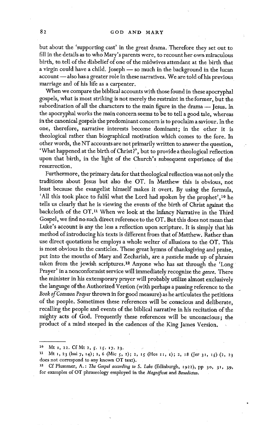but about the 'supporting cast' in the great drama. Therefore they set out to fill in the details as to who Mary's parents were, to recount her own miraculous birth, to. tell of the disbelief of one of the midwives attendant at the birth that a virgin could have a child. Joseph — so much in the background in the lucan account — also has a greater role in these narratives. We are told of his previous marriage and of his life as a carpenter.

When we compare the biblical accounts with those found in these apocryphal gospels, what is most striking is not merely the restraint in the former, but the subordination of all the characters to the main figure in the drama -- Jesus. In the apocryphal works the main concern seems to be to tell a good tale, whereas in the canonical gospels the predominant concern is to proclaim a saviour. In the one, therefore, narrative interests become dominant; in the other it is theological rather than biographical motivation which comes to the fore. In other words, the NT accounts are not primarily written to answer the question, - 'What happened at the birth of Christ?', but to provide a theological reflection upon that birth, in the light of the Church's subsequent experience of the resurrection.

Furthermore, the primary data for that theological reflection was not only the traditions about Jesus but also the OT. In Matthew this is obvious, not least because the evangelist himself makes it overt. By using the formula, 'All this took place to fulfil what the Lord had spoken by the prophet', 10 he tells us clearly that he is viewing the events of the birth of Christ against the backcloth of the OT. 11 When we look at the Infancy Narrative in the Third Gospel, we find no such direct reference to the OT. But this does not mean that Luke's account is any the less a reflection upon scripture. It is simply that his method of introducing his texts is different from that of Matthew, Rather than use direct quotations he employs a whole welter of allusions to the OT. This is most obvious in the canticles. These great hymns of thanksgiving and praise, put into the mouths of Mary and Zechariah, are a *pastiche* made up of phras'es taken from the jewish scriptures.<sup>12</sup> Anyone who has sat through the 'Long Prayer' in a nonconformist service will immediately recognize the *genre.* There the minister in his extemporary prayer will probably utilize almost exclusively the language of the Authorized Version (with perhaps a passing reference to the *Book of Comraon Prayer* thrown in for good measure) as he articulates the petitions of the people. Sometimes these references will be conscious and deliberate, recalling the people and events of the biblical narrative in his recitation of the mighty acts Of God. Frequently these references will be unconscious; the product of a mind steeped in the cadences of the King James Version.

<sup>10</sup> Mt 1, 22. Cf Mt 2, 5. 15. 17. 23.

<sup>11</sup> Mt 1, 23 (Isai 7, 14); 2, 6 (Mic 5, 2); 2, 15 (Hos 11, 1); 2, 18 (Jer 31, 15) (2, 23 does not correspond to any known OT text).

<sup>12</sup> Cf Plummer, A.: The Gospel according to S. Luke (Edinburgh, 1922), pp 30, 31, 39, for examples of OT phraseology employed in the *Magnificat* and *Benedictus.*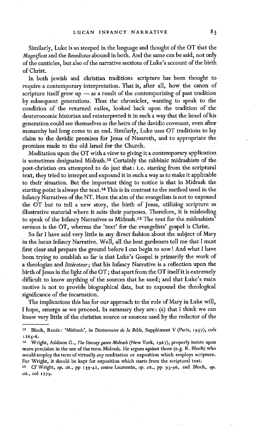Similarly, Luke is so steeped in the language and thought of the OT that the *Magnificat* and the *Benedictus* abound in both. And the same can be said, not only of the canticles, but also of the narrative sections of Luke's account of the birth of Christ.

In both jewish and christian traditions scripture has been thought to require a contemporary interpretation. That is, after all, how the canon of scripture itself grew up  $-$  as a result of the contemporizing of past tradition by subsequent generations. Thus the chronicler, wanting to speak to the condition of the returned exiles, looked back upon the tradition of the deuteronomic historian and reinterpreted it in such a way that the Israel of his generation could see themselves as the heirs of the davidic covenant, even after monarchy had long come to an end. Similarly, Luke uses OT traditions to lay claim to the davidic promises for Jesus of Nazareth, and to appropriate the promises made to the old Israel for the Church.

Meditation upon the OT with a view to giving it a contemporary application is sometimes designated Midrash.<sup>13</sup> Certainly the rabbinic midrashists of the post-christian era attempted to do just that: i.e. starting from the scriptural text, they tried to interpet andexpound it in such a way as to make it applicable to their situation. But the important thing to notice is that in Midrash the starting point is always the text. 14 This is in contrast to the method used in the Infancy Narratives of the NT. Here the aim of the evangelists is not to expound the OT but to tell a new story, the birth of Jesus, utilizing scripture as illustrative material where it suits their purposes. Therefore, it is misleading to speak of the Infancy Narratives as Midrash.<sup>15</sup> The text for the midrashists' sermon is the OT, whereas the 'text' for the evangelists' gospel is Christ.

So far I have said very little in any direct fashion about the subject of Mary in the lucan Infancy Narrative. Well, all the best gardeners tell me that I must first clear and prepare the ground before I can begin to sow! And what I have been trying to establish so far is that Luke's Gospel is primarily the work of a theologian and *littérateur*; that his Infancy Narrative is a reflection upon the birth of Jesus in the light of the OT; that apart from the OT itself it is extremely difficult to know anything of the sources that he used; and that Luke's main motive is not to provide biographical data, but to expound the theological significance of the incarnation.

The implications this has for our approach to the role of Mary in Luke will, I hope, emerge as we proceed. In summary they are: (a) that I think we can know very little of the christian source or sources used by the redactor of the

<sup>&</sup>lt;sup>13</sup> Bloch, Renée: 'Midrash', in *Dictionnaire de la Bible*, Supplément V (Paris, 1957), cols 1265-6.

x4 Wright, Addison G., *The literary genre Midrasb* (New York, i967) , properly insists upon more precision in the use of the term Midrash. He argues against those (e.g. R. Bloch) who would employ the term of virtually any meditation or exposition which employs scripture. For Wright, it should be kept for exposition which starts from the scriptural text.

t5 Cf Wright, *op. cit;,* pp t39-42, *contra* Laurentin, *op. cir.,* pp 93-96, and Bloch, op. *cir.,* col 1279.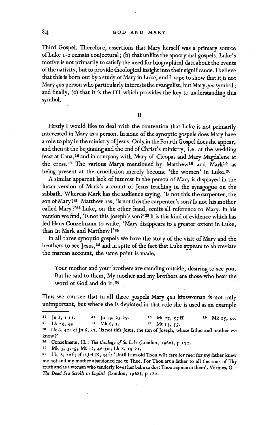Third Gospel. Therefore, assertions that Mary herself was a primary source of Luke I-2 remain conjectural; (b) that unlike the apocryphal gospels, Luke's motive is not primarily to satisfy the need for biographical data about the events of the nativity, but to provide theological insight into their significance. I believe that this is born out by a study of Mary in Luke, and I hope to show that it is not Mary *qua* person who particularly interests the evangelist, but Mary qua symbol; and finally, (c) that it is the OT which provides the key to understanding this symbol.

 $\mathbf{H}$ 

Firstly I would like to deal with the contention that Luke is not primarily interested in Mary as a person. In none of the synoptic gospels does Mary have a role to play in the ministry of Jesus. Only in the Fourth Gospel does she appear, and then at the beginning and the end of Christ's ministry, i.e. at the wedding feast at Cana,<sup>16</sup> and in company with Mary of Cleopas and Mary Magdalene at the cross.<sup>17</sup> The various Marys mentioned by Matthew<sup>18</sup> and Mark<sup>19</sup> as being present at the crucifixion merely become 'the women' in Luke.<sup>20</sup>

A similar apparent lack of interest in the person of Mary is displayed in the lucan version of Mark's account of Jesus teaching in the synagogue on the sabbath. Whereas Mark has the audience saying, 'Is not this the carpenter, the son of Mary?<sup>21</sup> Matthew has, 'Is not this the carpenter's son? Is not his mother called Mary?'<sup>22</sup> Luke, on the other hand, omits all reference to Mary. In his version we find, 'Is not this Joseph's son?'<sup>23</sup> It is this kind of evidence which has led Hans Conzelmann to write, 'Mary disappears to a greater extent in Luke, than in Mark and Matthew !'<sup>24</sup>

In all three synoptic gospels we have the story of the visit of Mary and the brothers to see Jesus,<sup>25</sup> and in spite of the fact-that Luke appears to abbreviate the marcan account, the same point is made.

Your mother and your brothers are standing outside, desiring to see you. But he said to them, My mother and my brothers are those who hear the word of God and do it. 36

Thus we can see that in all three gospels Mary *qua* kinswoman is not only unimportant, but where she is depicted in that role she is used as an example

<sup>&</sup>lt;sup>16</sup> Jn 2, 1-11. <sup>17</sup> Jn 19, 25-27. <sup>18</sup> Mt 27, 55 ff. <sup>19</sup> Mk 15, 40.<br><sup>20</sup> Lk 23, 49. <sup>21</sup> Mk 6, 3. <sup>22</sup> Mt 13, 55. Lk 23, 49.  $31$  Mk 6, 3.  $32$  Mt 13, 55.

<sup>&</sup>lt;sup>23</sup> Lk 6, 42; cf Jn 6, 42, 'is not this Jesus, the son of Joseph, whose father and mother we know?'

**st** Conzelmann, H. : *Thg theolosy of St Luke* (London, x96o), p 172.

**<sup>~5</sup> Mk 3,** 31-S; Mt i2, 46-50; Lk 8, I9-21.

<sup>&</sup>lt;sup>26</sup> Lk, 8, 20 f; cf 1QHIX, 34 f: 'Until I am old Thou wilt care for me: for my father knew me not and my mother abandoned me to Thee. For Thou art a father to all the sons of Thy truth and as a woman who tenderly loves her babe so dost Thou rejoice in them'. Vermes, G. : *The Dead Sea Scrolls in English* (London, 1968), p i82.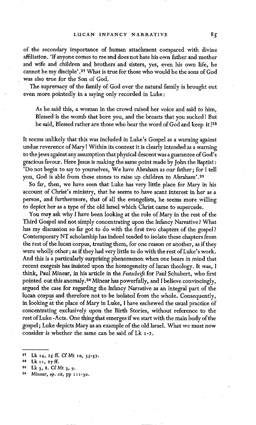of the secondary importance of human attachment compared with divine affiliation. 'If anyone comes to me and does not hate his own father and mother and wife and children and brothers and sisters, yes, even his own life, he cannot be my disciple'.<sup>27</sup> What is true for those who would be the sons of God was also true for the Son of God.

The supremacy of the family of God over the natural family is brought out even more pointedly in a saying only recorded in Luke:

As he said this, a woman in the crowd raised her voice and said to him, Blessed is the womb that bore you, and the breasts that you sucked I But he said, Blessed rather are those who hear the word of God and keep it!<sup>28</sup>

It seems unlikely that this was included in Luke's Gospel as a warning against undue reverence of Mary I Within its context it is clearly intended as a warning to the jews against any assumption that physical descent was a guarantee of God's gracious favour. Here Jesus is making the same point made by John the Baptist: 'Do not begin to say to yourselves, We have Abraham as our father; for I tell you, God is able from these stones to raise up children to Abraham'.<sup>29</sup>

So far, then, we have seen that Luke has very little place for Mary in his account of Christ's ministry, that he seems to have scant interest in her as a person, and furthermore, that of all the evangelists, he seems more willing to depict her as a type of the old Israel which Christ came to supercede.

You may ask why I have been looking at the role of Mary in the rest of the Third Gospel and not simply concentrating upon the Infancy Narrative? What has my discussion so far got to do with the first two chapters of the gospel? Contemporary NT scholarship has indeed tended to isolate these chapters from the restof the lucan corpus, treating them, for one reason or another, as if they were wholly other; as if they had very little to do with the rest of Luke's work. And this is a particularly surprising phenomenon when one bears in mind that recent exegesis has insisted upon the homogeneity of lucan theology. It was, I think, Paul Minear, in his article in the *Festschrift* for Paul Schubert, who first pointed out this anomaly.<sup>30</sup> Minear has powerfully, and I believe convincingly, argued the case for regarding the Infancy Narrative as an integral part of the lucan corpus and therefore not to be isolated from the whole. Consequently, in looking at the place of Mary in Luke, I have eschewed the usual practice of concentrating exclusively upon the Birth Stories, without reference to the rest of Luke -Acts. One thing that emerges if we start with the main body of the gospel; Luke depicts Mary as an example of the old Israel. What we must now consider is whether the same can be said of  $Lk_1-2$ .

<sup>&</sup>lt;sup>27</sup> Lk 14, 25 ff. Cf Mt 10, 35-37.

<sup>~8</sup> Lk iI, 27ff.

<sup>&</sup>lt;sup>29</sup> Lk 3, 8. Cf Mt 3, 9.

<sup>30</sup> Minear, op. *cit,* pp i 1 I-3o.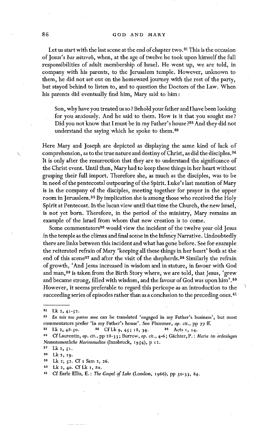## 86 GOD AND MARY

Let us start with the last scene at the end of chapter two.<sup>31</sup> This is the occasion of Jesus's *bar mitzvah,* when, at the age of twelve he took upon himself the full responsibilities of adult membership of Israel. He went up, we are told, in company with his parents, to the Jerusalem temple. However, unknown to them, he did not set out on the homeward journey with the rest of the party, but stayed behind to listen to, and to question the Doctors of the Law. When his parents did eventually find him, Mary said to him :

Son, why have you treated us so ? Behold your father and I have been looking for you anxiously. And he said to them. How is it that you sought me? Did you not know that I must be in my Father's house?<sup>32</sup> And they did not understand the saying which he spoke to them.<sup>33</sup>

Here Mary and Joseph are depicted as displaying the same kind of lack of comprehension, as to the true nature and destiny of Christ, as did the disciples.<sup>34</sup> It is only after the resurrection that they are to understand the significance of the Christ event. Hntil then, Mary had to keep these things in her heart without grasping their full import. Therefore she, as much as the disciples, was to be in need of the pentecostal outpouring of the Spirit. Luke's last mention of Mary is in the company of the disciples, meeting together for prayer in the upper room in Jerusalem. 3s By implication she is among those who received the Holy Spirit at Pentecost. In the lucan view until that time the Church, the new Israel, is not yet born. Therefore, in the period of the ministry, Mary remains an example of the Israel from Whom that new creation is to come.

Some commentators<sup>36</sup> would view the incident of the twelve year old Jesus in the temple as the climax and final scene in the Infancy Narrative. Undoubtedly there are links between this incident and what has gone before. See for example the reiterated refrain of Mary 'keeping all these things in her heart' both at the end of this scene<sup>37</sup> and after the visit of the shepherds.<sup>38</sup> Similarly the refrain of growth, 'And Jesus increased in wisdom and in stature, in favour with God and man, 39 is taken from the Birth Story where; we are told, that Jesus, 'grew and became strong, filled with wisdom, and the favour of God was upon him'.40 However, it seems preferable to regard this pericope as an introduction to the succeeding series of episodes rather than as a conclusion to the preceding ones.<sup>41</sup>

J

 $1 Lk 2, 41 - 52.$ 

<sup>&</sup>lt;sup>32</sup> En tois tou patros mou can be translated 'engaged in my Father's business', but most commentators prefer 'In my Father's house'. See Plummer, op. cit., pp 77 ff,

 $33$  Lk 2, 48-50.  $34$  Cf Lk 9, 45; 18, 34.  $35$  Acts 1, 14.

<sup>&</sup>lt;sup>86</sup> Cf Laurentin, *op. cit.*, pp 28-33; Burrow, op. cit., 4-6; Gächter, P.: *Maria im erdenlegen Neutestamentliche Marienstudien* (Innsbruck, i954) , p 12.

**<sup>37</sup> Lk 2,** 5I.

**as Lk 2, I9.** 

<sup>&</sup>lt;sup>39</sup> Lk 2; 52. Cf I Sam 2, 26.

<sup>40</sup> Lk 2, 4o. Cf Lk i, 8o.

<sup>&</sup>lt;sup>41</sup> Cf Earle Ellis, E.: The Gospel of Luke (London, 1966), pp 30-33, 84.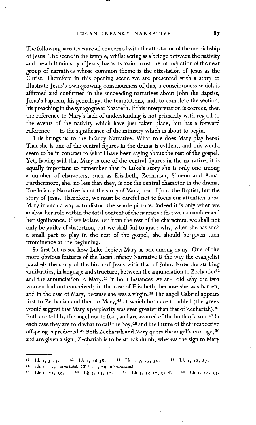The followingnarratives are all concernedwith the attestation of the messiahship of Jesus. The scene in the temple, whilst acting as a bridge between the nativity and the adult ministry of Jesus, has as its main thrust the introduction of the next group of narratives whose common theme is the attestation of Jesus as the Christ. Therefore in this opening scene we are presented with a story to illustrate Jesus's own growing consciousness of this, a consciousness which is affirmed and confirmed in the succeeding narratives about John the Baptist, Jesus's baptism, his genealogy, the temptations, and, to complete the section, his preaching in the synagogue at Nazareth. If this interpretation is correct, then the reference to Mary's lack of understanding is not primarily with regard to the events of the nativity which have just taken place, but has a forward reference -- to the significance of the ministry which is about to begin.

This brings us to the Infancy Narrative. What role does Mary play here? That she is one of the central figures in the drama is evident, and this would seem to be in contrast to What I have been saying about the rest of the gospel. Yet, having said that Mary is one of the central figures in the narrative, it is equally important to remember, that in Luke's story she is only one among a number of characters, such as Elisabeth, Zechariah, Simeon and Anna. Furthermore, she, no less than they, is not the central character in the drama. The Infancy Narrative is not the story of Mary, nor of John the Baptist, but the story of Jesus; Therefore, we must be careful not to focus our attention upon Mary in such a way as to distort the whole picture. Indeed it is only when we analyse her role within the total context of the narrative that we can understand her significance. If we isolate her from the rest of the characters, we shall not only be guilty of distortion, but we shall fail to grasp why, when she has such a small part to play in the rest of the gospel, she should be given such prominence at the beginning.

So first let us see how Luke depicts Mary as one among many. One of the more obvious features of the lucan Infancy Narrative is the way the evangelist parallels the story of the birth of Jesus with that of John. Note the striking similarities, in language and structure, between the annunciation to Zechariah<sup>42</sup> and the annunciation to Mary.<sup>43</sup> In both instances we are told why the two women had not conceived; in the case of Elisabeth, because she was barren, and in the case of Mary, because she was a virgin.<sup>44</sup> The angel Gabriel appears first to Zechariah and then to Mary,  $45$  at which both are troubled (the greek would suggest that Mary's perplexity was even greater than that of Zechariah).<sup>46</sup> Both are told by the angel not to fear, and are assured of the birth of a son.<sup>47</sup> In each case they are told what to call the boy,  $48$  and the future of their respective offspring is predicted.<sup>49</sup> Both Zechariah and Mary query the angel's message,<sup>50</sup> and are given a sign; Zechariah is to be struck dumb, whereas the sign to Mary

<sup>&</sup>lt;sup>42</sup> Lk **i**,  $5-23$ . <sup>43</sup> Lk **i**, 26-38. <sup>44</sup> Lk **i**, 7, 27, 34. <sup>45</sup> Lk **i**, 12, 27.

<sup>46</sup> Lk *I, t2, etarachth&* CfLk I, 29, *dietarachth&* 

<sup>&</sup>lt;sup>47</sup> Lk I, 13, 30. <sup>48</sup> Lk I, 13, 31. <sup>49</sup> Lk I, 15-17, 32 ff. <sup>50</sup> Lk I, 18, 34.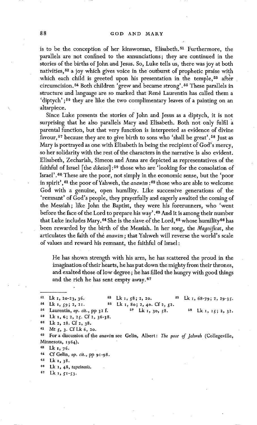is to be the conception of her kinswoman, Elisabeth. 51 Furthermore, the parallels are not confined to the annunciations; they are continued in the stories of the births of John and Jesus. So, Luke tells us, there was joy at both nativities, 52 a joy which gives voice in the outburst of prophetic praise with which each child is greeted upon his presentation in the temple,<sup>53</sup> after circumcision. 54 Both children 'grew and became strong'. 55 These parallels in structure and language are so marked that René Laurentin has called them a 'diptych';<sup>56</sup> they are like the two complimentary leaves of a painting on an altarpiece.

Since Luke presents the stories of John and Jesus as a diptych, it is not surprising that he also parallels Mary and Elisabeth. Both not only fulfil parental function, but that very function is interpreted as evidence of divine favour, <sup>57</sup> because they are to give birth to sons who 'shall be great'. <sup>58</sup> Just as Mary is portrayed as one with Elisabeth in being the recipient of God's mercy, so her solidarity with the rest of the characters in the narrative is also evident. Elisabeth, Zechariah, Simeon and Anna aredepicted as representatives of the faithful of Israel [the *dikaioi]* :50 those who are 'looking for the consolation of Israel'.50 These are the poor, not simply in the economic sense, but the 'poor in spirit', <sup>61</sup> the poor of Yahweh, the *anawim*:<sup>62</sup> those who are able to welcome God with a genuine, open humility. Like successive generations of the 'remnant' of God's people, they prayerfully and eagerly awaited the coming of the Messiah; like John the Baptist, they were his forerunners, who 'went before the face of the Lord to prepare his way'.<sup>63</sup> And it is among their number that Luke includes Mary.  $64$  She is the slave of the Lord,  $65$  whose humility  $66$  has been rewarded by the birth of the Messiah. In her song, the *Magnificat*, she articulates the faith of the *anawim* ; that Yahweh will reverse the world's scale of values and reward his remnant, the faithful of Israel :

He has shown strength with his arm, he has scattered the proud in the imagination of their hearts, he has put down the mighty from their thrones, and exalted those of low degree; he has filled the hungry with good things and the rich he has sent empty away.<sup>67</sup>

Minnesota, 1964). For a discussion of the *anawim* see Gelin, Albert: The poor of Jahweh (Collegeville,

°~ CfGel~, *op. cir.,* pp 9~-98.

~ Lk 7, 38-

<sup>60</sup>Lk I, 4 8, *tapeinosis.* 

 $b^{87}$  Lk 1,  $51-53$ .

<sup>51</sup> Lk 1, 20-23, 36. <sup>54</sup> Lk 1, 59; 2, 21. ~6 59 6O 61 69  $\begin{array}{ll}\n\text{52} & \text{Lk } 1, 58; 2, 20. \\
\text{53} & \text{Lk } 1, 68-79; 2, 29-35.\n\end{array}$ Lk 1, 80; 2, 40. Cf 2, 52.<br><sup>57</sup> Lk 1, 30, 58. Laurentin, *op. cit.*, pp 32 f. 57 Lk 1, 30, 58. 58 Lk 1, 15; 2, 32. Lk **I, 6; 2,** 25. Cf **2, 36-38.**  Lk 2, 28. Cf 2, 38. Mt 5, 3. CfLk 6, 2o.

**<sup>6</sup>s Lk I,** 76.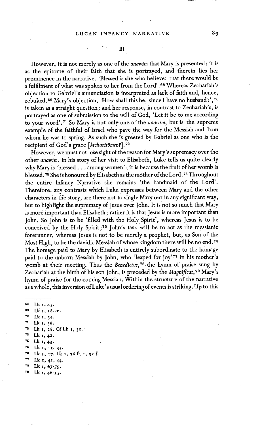## LUCAN INFANCY NARRATIVE 89

However, it is not merely as one of the *anawim* that Mary is presented ; it is as the epitome of their faith that she is portrayed, and therein lies her prominence in the narrative. 'Blessed is she who believed that there would be a fulfilment of what was spoken to her from the Lord'.68 Whereas Zechariah's objection to Gabriel's annunciation is interpreted as lack of faith and, hence, rebuked. 69 Mary's objection, 'How shall this be, since I have no husband?', 70 is taken as a straight question; and her response, in contrast to Zechariah's, is portrayed as one of submission to the will of God, 'Let it be to me according

to your word'. 71 So Mary is not only one of the *anawim,* but is the supreme example of the faithful of Israel who pave the way for the Messiah and from whom he was to spring. As such she is greeted by Gabriel as one who is the recipient of God's grace [kecharitömene<sup>7</sup>].<sup>72</sup>

However, we must not lose sight of the reason for Mary's supremacy over the other *anawim.* In his story of her visit to Elisabeth, Luke tells us quite clearly why Mary is 'blessed... among women' ; it is because the fruit of her womb is blessed. 73 She is honoured by Elisabeth as the mother of the Lord. 74 Throughout the entire Infancy Narrative she remains 'the handmaid of the Lord'. Therefore, any contrasts which Luke expresses between Mary and the other characters in the story, are there not to single Mary out in any significant way, but to highlight the supremacy of Jesus over John. It is not so much that Mary is more important than Elisabeth; rather it is that Jesus is more important than John. So John is to be 'filled with the Holy Spirit', whereas Jesus is to be conceived by the Holy Spirit;<sup>75</sup> John's task will be to act as the messianic forerunner, whereas Jesus is not.to be merely a prophet, but, as Son of the Most High, to be the davidic Messiah of whose kingdom there will be no end. 7e The homage paid to Mary by Elisabeth is entirely subordinate to the homage paid to the unborn Messiah by John, who 'leaped for joy'77 in his mother's womb at their meeting. Thus the *Benedictus, 7s the* hymn of praise sung by Zechariah at the birth of his son John, is preceded by the *Magnificat, v9* Mary's hymn of praise for the coming Messiah. Within the structure of the narrative as a whole, this inversion of Luke's usualorderingof events is striking. Up to this

 $s_8$  Lk 1, 45. **s9 Lk I, t8-2o.**  ~o Lk i, 34- **71 Lk l,** 38.  $v^2$  Lk 1, 28. Cf Lk 1, 30.  $Lk_1, 42.$ **v~ Lk x, 43.**  75 Lk 1, 15. 35. ¢~ Lk I, x7. Lk i, 76 f; x, 32 f. **7v Lk I, 4I, 44-.**  cs Lk I, *67"79.*   $79$  Lk  $1, 46 - 55$ .

 $_{\rm III}$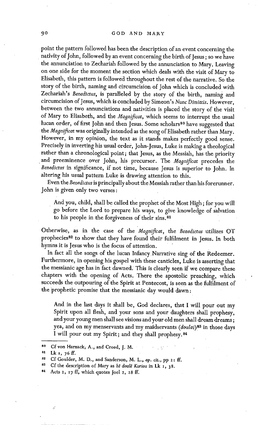point the pattern followed has been the description of an event concerning the nativity of John, followed by an event concerning the birth of Jesus ; so we have the annunciation to Zechariah followed by the annunciation to Mary. Leaving on one side for the moment the section which deals with the visit of Mary to Elisabeth, this pattern is followed throughout the rest of the narrative. So the story of the birth, naming and circumcision of John which is concluded with Zechariah's *Benedictus,* is paralleled by the story of the birth, naming and circumcision of Jesus, which is concluded by Simeon's *Nunc Dimittis.* However, between the two annunciations and nativities is placed the story of the visit of Mary to Elisabeth, and the *Magnificat*, which seems to interrupt the usual lucan order, of first John and then Jesus. Some scholars<sup>80</sup> have suggested that the *Magnificat* was originally intended as the song of Elisabeth rather than Mary. However, in my opinion, the text as it stands makes perfectly good sense. Precisely in inverting his usual order, John-Jesus, Luke is making a theological rather than a chronological point; that Jesus, as the Messiah, has the priority and preeminence over John, his precursor. The *Magnificat* precedes the *Benedictus* in significance, if not time, because Jesus is superior to John. In altering his usual pattern Luke is drawing attention to this.

Even the *Benedictus* is principaliy about the Messiah rather than his forerunner. John is given only two verses:

And you, child, shall be called the prophet of the Most High; for you will go before the Lord to prepare his ways, to give knowledge of salvation to his people in the forgiveness of their sins.<sup>81</sup>

Otherwise, as in the case of the *"Magnificat,* the *Benedictus* utilizes OT prophecies<sup>82</sup> to show that they have found their fulfilment in Jesus. In both hymns it is Jesus who is the focus of attention.

In fact all the songs of the lucan Infancy Narrative sing of the Redeemer. Furthermore, in opening his gospel with these canticles, Luke is asserting that the messianic age has in fact dawned. This is clearly seen if we compare these chapters with the opening of Acts. There the apostolic preaching, which succeeds the outpouring of the Spirit at Pentecost, is seen as the fulfilment of the 'prophetic promise that the messianic day would dawn:

And in the last days it shall be, God declares, that I will pour out my Spirit upon all flesh, and your sons and your daughters shall prophesy, and your young men shall see visions and your old men shall dream dreams; yea, and on my menservants and my maidservants (doulai)<sup>83</sup> in those days I will pour out my Spirit; and they shall prophesy, s4

,j

Acts 2, 17 ff, which quotes Joel 2, 28 ff.

<sup>80</sup> Cf von Harnack, A., and Creed, J. M.

**sl Lk I, 76ff.** 

m Cf Goulder, M. D., and Sanderson, M. L., op. *cir.,* pp 2t ft.

<sup>&</sup>lt;sup>83</sup> Cf the description of Mary as *h*<sup>*z*</sup> doule Kuriou in Lk 1, 38.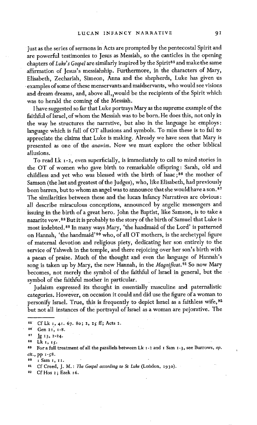just as the series of sermons in Acts are prompted by the pentecostal Spirit and are powerful testimonies to Jesus as Messiah, so the canticles in the opening chapters of *Luke's Gospel* are similarly inspired by the Spirit<sup>85</sup> and make the same affirmation of Jesus's messiahship. Furthermore, in the characters of Mary, Elisabeth, Zechariah, Simeon, Anna and the shepherds, Luke has given us examples of some of these menservants and maidservants, who would see visions and dream dreams, and, above all, would be the recipients of the Spirit which was to herald the coming of the Messiah.

I have suggested so far that Luke portrays Mary as the supreme example of the faithful of Israel, of whom the Messiah was to be born. He does this, not only in the way he structures the narrative, but also in the language he employs: language which is full of OT allusions and symbols. To miss these is to fail to appreciate the claims that Luke is making. Already we have seen that Mary is presented as one of the *anawim.* Now we must explore the other biblical allusions.

To read Lk t-2, even superficially, is immediately to call to mind stories in the OT of women who gave birth to remarkable offspring: Sarah, old and childless and yet who was blessed with the birth of Isaac;<sup>86</sup> the mother of Samson (the last and greatest of the Judges), who, like Elisabeth, had previously been barren, but to whom an angel was to announce that she would have a son.<sup>87</sup> The similarities between these and the lucan Infancy Narratives are obvious : all describe miraculous conceptions, announced by angelic messengers and issuing in the birth of a great hero. John the Baptist, like Samson, is to take a nazarite vow. 88 But it is probably to the story of the birth of Samuel that Luke is most indebted, s° In many ways Mary, 'the handmaid of the Lord' is patterned on Hannah, 'the handmaid' 90 who, of all OT mothers, is the archetypal figure of maternal devotion and religious piety, dedicating her son entirely to the service of Yahweh in the temple, and there rejoicing over her son's birth with a paean of praise. Much of the thought and even the language of Hannah's song is taken up by Mary, the new Hannah, in the *Magnificat*.<sup>91</sup> So now Mary becomes, not merely the symbol of the faithful of Israel in general, but the symbol of the faithful mother in particular.

Judaism expressed its thought in essentially masculine and paternalistic categories. However, on occasion it could and did use the figure of a woman to personify Israel. True, this is frequently to depict Israel as a faithless wife, 9z but not all instances of the portrayal of Israel as a woman are pejorative. The

<sup>&</sup>lt;sup>85</sup> Cf Lk 1, 41. 67. 80; 2, 25 ff; Acts 2.

<sup>86</sup> Gen 21, 1-8.

 $s^2$  Jg 13, 2-24.

**ss Lk I,** Ig.

**so** For a full treatment of all the parailels between Lk i-2 and I Sam I-3, see Burrows, *op. cir.,* pp i-g8.

I Sam 1, 11.

<sup>&</sup>lt;sup>91</sup> Cf Creed, J. M.: *The Gospel according to St Luke* (London, 1930).

<sup>92</sup> Cf Hos 2; Ezek 16.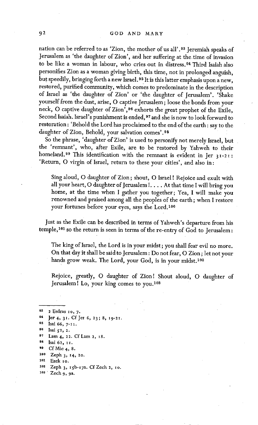nation can be referred to as 'Zion, the mother of us all'.<sup>93</sup> Jeremiah speaks of Jerusalem as 'the daughter of Zion', and her suffering at the time of invasion to be like a woman in labour, who cries out in distress.<sup>94</sup> Third Isaiah also personifies Zion as a woman giving birth, this time, not in prolonged anguish, but speedily, bringing forth a new Israel.<sup>95</sup> It is this latter emphasis upon a new, restored, purified community, which comes to predominate in the description of Israel as 'the daughter of Zion' or 'the daughter of Jerusalem'. 'Shake yourself from the dust, arise, O captive Jerusalem ; loose the bonds from your neck, O captive daughter of Zion', 96 exhorts the great prophet of the Exile, Second Isaiah. Israel's punishment is ended, <sup>97</sup> and she is now to look forward to restoration : 'Behold the Lord has proclaimed to the end of the earth : say to the daughter of Zion, Behold, your salvation comes'.<sup>08</sup>

So the phrase, 'daughter of Zion' is used to personify not merely Israel, but the 'remnant', who, after Exile, are to be restored by Yahweh to their homeland.<sup>99</sup> This identification with the remnant is evident in Jer  $31-21$ : 'Return, O virgin of Israel, return to these your cities', and also in:

Sing aloud, 0 daughter of Zion ; shout, 0 Israel ! Rejoice and exult with all your heart, O daughter of Jerusalem !. . . . At that time I will bring you home, at the time when I gather you together; Yea, I will make you renowned and praised among all the peoples of the earth ; when I restore your fortunes before your eyes, says the Lord.<sup>100</sup>

Just as the Exile can be described in terms of Yahweh's departure from his temple, <sup>101</sup> so the return is seen in terms of the re-entry of God to Jerusalem :

The king of Israel, the Lord is in your midst; you shall fear evil no more. On that day it shall be said to Jerusalem : Do not fear, O Zion ; let not your hands grow weak. The Lord, your God, is in your midst.<sup>102</sup>

Rejoice, greatly, O daughter of Zion! Shout aloud, O daughter of Jerusalem! Lo, your king comes to you.<sup>103</sup>

93 2 Esdras 10, 7. <sup>94</sup> Jer<sub>4</sub>, 3<sup>1</sup>. Cf Jer 6, 23; 8, 19-21. Isai 66, 7-11. 96 Isai  $52$ , 2. **9"~ Lain4, 22.** CfLam **2, i8.**  98 Isai 62, II. **so** CfMic 4, 8. **xoo** Zeph 3, I4, 20. 101 Ezek 10.

102 Zeph 3, 15b-17a. Cf Zech 2, 10.

lo3 Zech 9, 9a.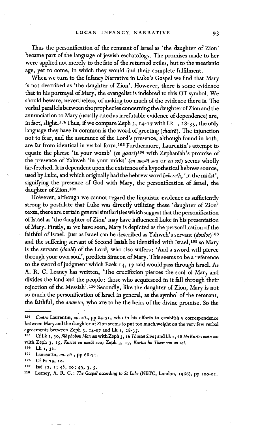Thus the personification of the remnant of Israel as 'the daughter of Zion' became part of the language of jewish eschatology. The promises made to her were applied not merely to the fate of the returned exiles, but to the messianic age, yet to come, in which they would find their complete fulfilment.

When we turn to the Infancy Narrative in Luke's Gospel we find that Mary is not described as 'the daughter of Zion'. However, there is some evidence that in his portrayal of Mary, the evangelist is indebted to this OT symbol. We should beware, nevertheless, of making too much of the evidence there is. The verbal parallels between the prophecies concerning the daughter of Zion and the annunciation to Mary (usually cited as irrefutable evidence of dependence) are, in fact, slight.<sup>104</sup> Thus, if we compare Zeph 3,  $14-17$  with Lk  $1, 28-35$ , the only language they have in common is the word of greeting *(chairë)*. The injunction not to fear, and the assurance of the Lord's presence, although found in both, are far from identical in verbal form. 105 Furthermore, Laurentin's attempt to equate the phrase 'in your womb' (en gastri)<sup>106</sup> with Zephaniah's promise of the presence of Yahweh 'in your midst' (en mesoi sou or en soi) seems wholly far-fetched. It is dependent upon the existence of a hypothetical hebrew source, used by Luke, and which originally had the hebrew word *bekereth,* 'in the midst', signifying the presence of God with Mary, the personification of Israel, the daughter of Zion.<sup>107</sup>

However, although we cannot regard the linguistic evidence as sufficiently strong to postulate that Luke was directly utilizing these 'daughter of Zion' texts, there are certain general similarities which suggest that the personification of Israel as 'the daughter of Zion' may have influenced Luke in his presentation of Mary. Firstly, as we have seen, Mary is depicted as the personification of the faithful of Israel. Just as Israel can be described as Yahweh's servant *(doulos) l°s*  and the suffering servant of Second Isaiah be identified with Israel, 109 so Mary is the servant *(doulè)* of the Lord, who also suffers: 'And a sword will pierce through your own soul', predicts Simeon of Mary. This seems to be a reference to the sword of judgment which Ezek 14, 17 said would pass through Israel. As A. R. C. Leaney has written, 'The crucifixion pierces the soul of Mary and divides the land and the people: those who acquiesced in it fall through their rejection of the Messiah'.<sup>110</sup> Secondly, like the daughter of Zion, Mary is not so much the personification of Israel in general, as the symbol of the remnant, the faithful, the *anawim,* who are to be the heirs of the divine promise. So the

*lo~ Contra* Laurentin, op. *cit.,* pp 64-7I, who in his efforts to establish a correspondence between Mary and the daughter of Zion seems to put too much weight on the very few verbal agreements between Zeph 3, 14-17 and Lk 1, 28-35.

<sup>&</sup>lt;sup>105</sup> Cf Lk 1, 30, Më phobou Mariam with Zeph 3, 16 Tharsei Sion; and Lk 1, 28 Ho Kurios meta sou with Zeph 3, 15, *Kurios en mesoi sou; Zeph 3, 17, Kurios ho Theos sou en soi. 1oo Lk l, 31.* 

*<sup>&</sup>lt;sup>107</sup>* Laurentin, *op. cit.*, pp 68-71.

<sup>10</sup>s C£Ps 79, **Io.** 

 $100$  Isai 42,  $1$ ; 48, 20; 49, 3, 5.

<sup>110</sup> Leaney, A. R. C.: *The Gospel according to St Luke* (NBTC, London, 1966), pp 100-01.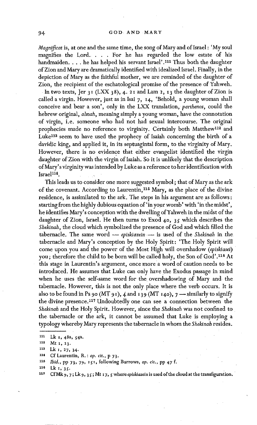*Magnificat* is, at one and the same time, the song of Mary and of Israel : 'My soul magnifies the Lord. . . . For he has regarded the low estate of his handmaiden. . . . he has helped his servant Israel'.<sup>111</sup> Thus both the daughter of Zion and Mary are dramatically identified with idealized Israel. Finally, in the depiction of Mary as the faithful mother, we are reminded of the daughter of Zion, the recipient of the eschatological promise of the presence of Yahweh. In two texts, Jer 31 (LXX 38), 4. 21 and Lam 2, 13 the daughter of Zion is called a virgin. However, just as in Isai 7, I4, 'Behold, a young woman shall conceive and bear a son', only in the LXX *translation, parthenos,* could the hebrew original, *almah,* meaning simply a young woman, have the connotation of virgin, i.e. someone who had not had sexual intercourse. The original prophecies made no reference to virginity. Certainly both Matthew<sup>112</sup> and Luke<sup>113</sup> seem to have used the prophecy of Isaiah concerning the birth of a davidic king, and applied it, in its septuagintal form, to the virginity of Mary. However, there is no evidence that either evangelist identified the virgin daughter of Zion With the virgin of Isaiah. So it is unlikely that the description of Mary's virginity was intended by Luke as a reference to her identification with  $Israel<sup>114</sup>$ .

This leads us to consider one more suggested symbol; that of Mary as the ark of the covenant. According to Laurentin, 115 Mary, as the place of the divine residence, is assimilated to the ark. The steps in his argument are as follows : starting from the highly dubious equation of 'in your womb' with 'in the midst', he identifies Mary's conception with the dwelling of Yahweh in the midst of the daughter of Zion, Israel. He then turns to Exod  $40, 35$  which describes the Shekinah, the cloud which symbolized the presence of God and which filled the tabernacle. The same word -- *episkiazein* -- is used of the *Shekinah* in the tabernacle and Mary's conception by the Holy Spirit: 'The Holy Spirit will come upon you and the power of the Most High will overshadow *(episkiasei)*  you ; therefore the child to be born will be called holy, the Son of God'. 116 At this stage in Laurentin's argument, once morea word of caution needs to be introduced. He assumes that Luke can only have the Exodus passage in mind when he uses the self-same word for the overshadowing of Mary and the tabernacle. However, this is not the only place where the verb occurs. It is also to be found in Ps 90 (MT 91), 4 and 139 (MT 140),  $7$  --similarly to signify the divine presence. 117 Undoubtedly one can see a connection between the *Shekinall* and the Holy Spirit. However, since the *Shekinah* was not confined to the tabernacle or the ark, it cannot be assumed that Luke is employing a typology whereby Mary represents the tabernacle in whom the *Shekinah* resides.

*Ibid.*, pp 73, 79, 151, following Burrows, op. cit., pp 47 f. 115

117 Cf Mk 9, 7 ; Lk 9, 3 g ; Mt 17, S where *eplskiazeia* is used of the cloud at the transfiguration.

<sup>111</sup>  Lk **I, 48a, g4a.** 

<sup>112</sup> Mt 1, 23.

<sup>118</sup>  Lk I, 27, 34.

<sup>114</sup>  Cf Laurentin, R. : op. *cir.,* p 73.

<sup>116</sup>  Lk 1, 35.